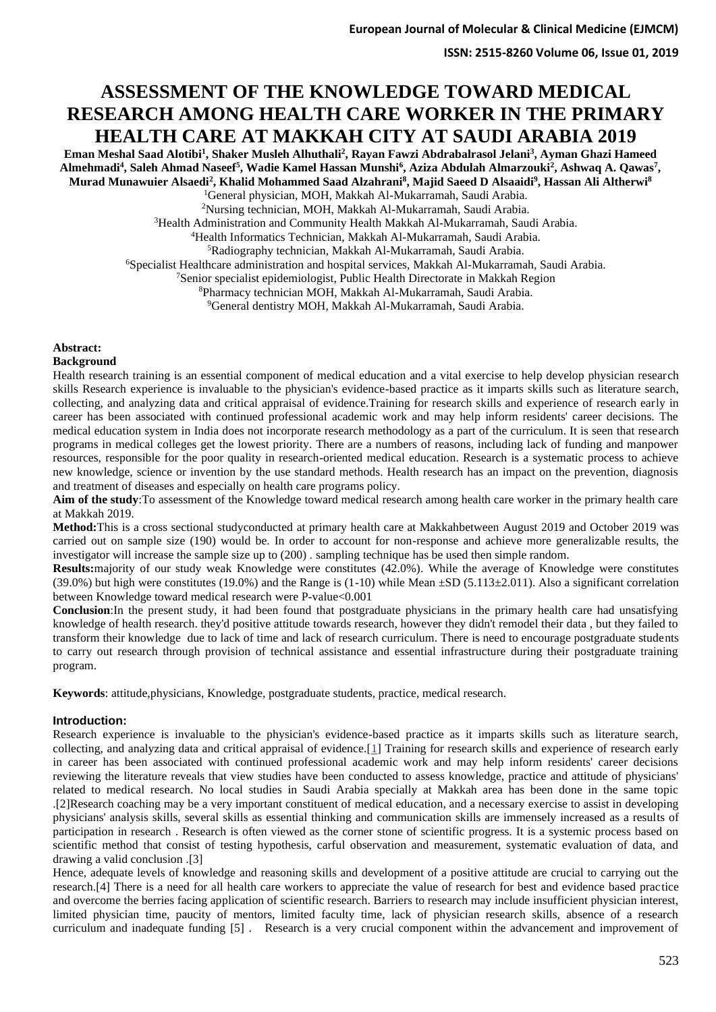# **ASSESSMENT OF THE KNOWLEDGE TOWARD MEDICAL RESEARCH AMONG HEALTH CARE WORKER IN THE PRIMARY HEALTH CARE AT MAKKAH CITY AT SAUDI ARABIA 2019**

**Eman Meshal Saad Alotibi<sup>1</sup> , Shaker Musleh Alhuthali<sup>2</sup> , Rayan Fawzi Abdrabalrasol Jelani<sup>3</sup> , Ayman Ghazi Hameed Almehmadi<sup>4</sup> , Saleh Ahmad Naseef<sup>5</sup> , Wadie Kamel Hassan Munshi<sup>6</sup> , Aziza Abdulah Almarzouki<sup>2</sup> , Ashwaq A. Qawas<sup>7</sup> , Murad Munawuier Alsaedi<sup>2</sup> , Khalid Mohammed Saad Alzahrani<sup>8</sup> , Majid Saeed D Alsaaidi<sup>9</sup> , Hassan Ali Altherwi<sup>8</sup>**

<sup>1</sup>General physician, MOH, Makkah Al-Mukarramah, Saudi Arabia. <sup>2</sup>Nursing technician, MOH, Makkah Al-Mukarramah, Saudi Arabia.

<sup>3</sup>Health Administration and Community Health Makkah Al-Mukarramah, Saudi Arabia.

<sup>4</sup>Health Informatics Technician, Makkah Al-Mukarramah, Saudi Arabia.

<sup>5</sup>Radiography technician, Makkah Al-Mukarramah, Saudi Arabia.

<sup>6</sup>Specialist Healthcare administration and hospital services, Makkah Al-Mukarramah, Saudi Arabia.

<sup>7</sup>Senior specialist epidemiologist, Public Health Directorate in Makkah Region

<sup>8</sup>Pharmacy technician MOH, Makkah Al-Mukarramah, Saudi Arabia.

<sup>9</sup>General dentistry MOH, Makkah Al-Mukarramah, Saudi Arabia.

# **Abstract:**

# **Background**

Health research training is an essential component of medical education and a vital exercise to help develop physician research skills Research experience is invaluable to the physician's evidence-based practice as it imparts skills such as literature search, collecting, and analyzing data and critical appraisal of evidence.Training for research skills and experience of research early in career has been associated with continued professional academic work and may help inform residents' career decisions. The medical education system in India does not incorporate research methodology as a part of the curriculum. It is seen that research programs in medical colleges get the lowest priority. There are a numbers of reasons, including lack of funding and manpower resources, responsible for the poor quality in research-oriented medical education. Research is a systematic process to achieve new knowledge, science or invention by the use standard methods. Health research has an impact on the prevention, diagnosis and treatment of diseases and especially on health care programs policy.

**Aim of the study**:To assessment of the Knowledge toward medical research among health care worker in the primary health care at Makkah 2019.

**Method:**This is a cross sectional studyconducted at primary health care at Makkahbetween August 2019 and October 2019 was carried out on sample size (190) would be. In order to account for non-response and achieve more generalizable results, the investigator will increase the sample size up to (200) . sampling technique has be used then simple random.

**Results:**majority of our study weak Knowledge were constitutes (42.0%). While the average of Knowledge were constitutes (39.0%) but high were constitutes (19.0%) and the Range is  $(1-10)$  while Mean  $\pm$ SD (5.113 $\pm$ 2.011). Also a significant correlation between Knowledge toward medical research were P-value<0.001

**Conclusion**:In the present study, it had been found that postgraduate physicians in the primary health care had unsatisfying knowledge of health research. they'd positive attitude towards research, however they didn't remodel their data , but they failed to transform their knowledge due to lack of time and lack of research curriculum. There is need to encourage postgraduate students to carry out research through provision of technical assistance and essential infrastructure during their postgraduate training program.

**Keywords**: attitude,physicians, Knowledge, postgraduate students, practice, medical research.

# **Introduction:**

Research experience is invaluable to the physician's evidence-based practice as it imparts skills such as literature search, collecting, and analyzing data and critical appraisal of evidence.[\[1\]](https://www.ncbi.nlm.nih.gov/pmc/articles/PMC4005194/#ref1) Training for research skills and experience of research early in career has been associated with continued professional academic work and may help inform residents' career decisions reviewing the literature reveals that view studies have been conducted to assess knowledge, practice and attitude of physicians' related to medical research. No local studies in Saudi Arabia specially at Makkah area has been done in the same topic .[2]Research coaching may be a very important constituent of medical education, and a necessary exercise to assist in developing physicians' analysis skills, several skills as essential thinking and communication skills are immensely increased as a results of participation in research . Research is often viewed as the corner stone of scientific progress. It is a systemic process based on scientific method that consist of testing hypothesis, carful observation and measurement, systematic evaluation of data, and drawing a valid conclusion .[3]

Hence, adequate levels of knowledge and reasoning skills and development of a positive attitude are crucial to carrying out the research.[4] There is a need for all health care workers to appreciate the value of research for best and evidence based practice and overcome the berries facing application of scientific research. Barriers to research may include insufficient physician interest, limited physician time, paucity of mentors, limited faculty time, lack of physician research skills, absence of a research curriculum and inadequate funding [5] . Research is a very crucial component within the advancement and improvement of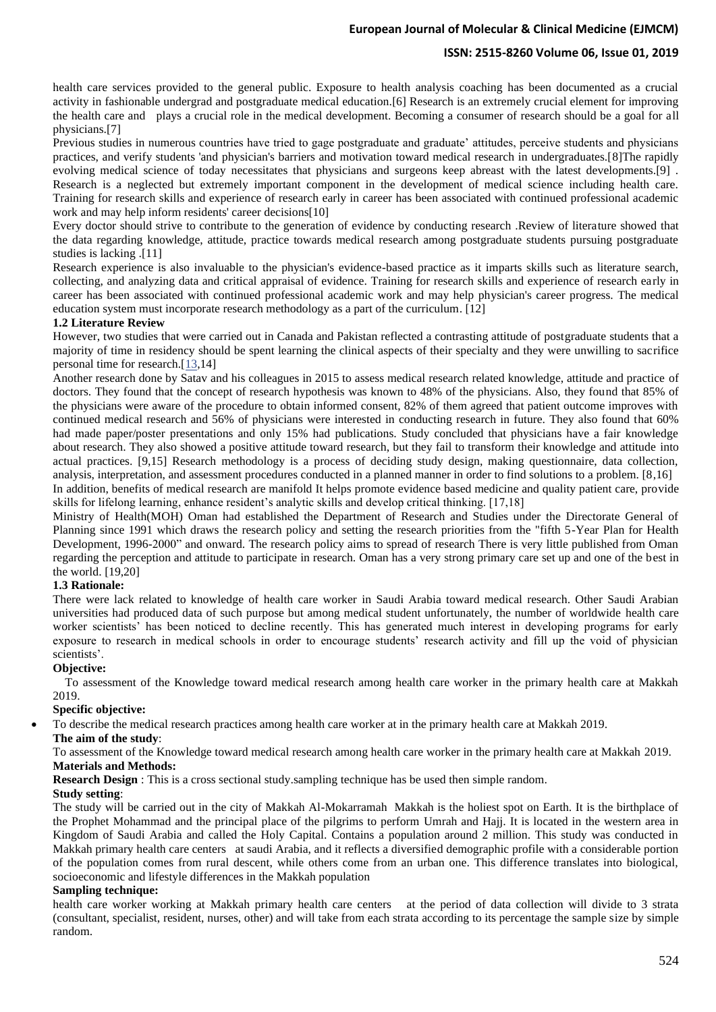# **ISSN: 2515-8260 Volume 06, Issue 01, 2019**

health care services provided to the general public. Exposure to health analysis coaching has been documented as a crucial activity in fashionable undergrad and postgraduate medical education.[6] Research is an extremely crucial element for improving the health care and plays a crucial role in the medical development. Becoming a consumer of research should be a goal for all physicians.[7]

Previous studies in numerous countries have tried to gage postgraduate and graduate' attitudes, perceive students and physicians practices, and verify students 'and physician's barriers and motivation toward medical research in undergraduates.[8]The rapidly evolving medical science of today necessitates that physicians and surgeons keep abreast with the latest developments.[9] . Research is a neglected but extremely important component in the development of medical science including health care. Training for research skills and experience of research early in career has been associated with continued professional academic work and may help inform residents' career decisions[10]

Every doctor should strive to contribute to the generation of evidence by conducting research .Review of literature showed that the data regarding knowledge, attitude, practice towards medical research among postgraduate students pursuing postgraduate studies is lacking .[11]

Research experience is also invaluable to the physician's evidence-based practice as it imparts skills such as literature search, collecting, and analyzing data and critical appraisal of evidence. Training for research skills and experience of research early in career has been associated with continued professional academic work and may help physician's career progress. The medical education system must incorporate research methodology as a part of the curriculum. [12]

# **1.2 Literature Review**

However, two studies that were carried out in Canada and Pakistan reflected a contrasting attitude of postgraduate students that a majority of time in residency should be spent learning the clinical aspects of their specialty and they were unwilling to sacrifice personal time for research.[\[13,](https://www.ncbi.nlm.nih.gov/pmc/articles/PMC4005194/#ref8)14]

Another research done by Satav and his colleagues in 2015 to assess medical research related knowledge, attitude and practice of doctors. They found that the concept of research hypothesis was known to 48% of the physicians. Also, they found that 85% of the physicians were aware of the procedure to obtain informed consent, 82% of them agreed that patient outcome improves with continued medical research and 56% of physicians were interested in conducting research in future. They also found that 60% had made paper/poster presentations and only 15% had publications. Study concluded that physicians have a fair knowledge about research. They also showed a positive attitude toward research, but they fail to transform their knowledge and attitude into actual practices. [9,15] Research methodology is a process of deciding study design, making questionnaire, data collection, analysis, interpretation, and assessment procedures conducted in a planned manner in order to find solutions to a problem. [8,16]

In addition, benefits of medical research are manifold It helps promote evidence based medicine and quality patient care, provide skills for lifelong learning, enhance resident's analytic skills and develop critical thinking. [17,18]

Ministry of Health(MOH) Oman had established the Department of Research and Studies under the Directorate General of Planning since 1991 which draws the research policy and setting the research priorities from the "fifth 5-Year Plan for Health Development, 1996-2000" and onward. The research policy aims to spread of research There is very little published from Oman regarding the perception and attitude to participate in research. Oman has a very strong primary care set up and one of the best in the world. [19,20]

# 1.3 Rationale:

There were lack related to knowledge of health care worker in Saudi Arabia toward medical research. Other Saudi Arabian universities had produced data of such purpose but among medical student unfortunately, the number of worldwide health care worker scientists' has been noticed to decline recently. This has generated much interest in developing programs for early exposure to research in medical schools in order to encourage students' research activity and fill up the void of physician scientists'.

# **Objective:**

 To assessment of the Knowledge toward medical research among health care worker in the primary health care at Makkah 2019.

# **Specific objective:**

• To describe the medical research practices among health care worker at in the primary health care at Makkah 2019.

#### **The aim of the study**:

To assessment of the Knowledge toward medical research among health care worker in the primary health care at Makkah 2019. **Materials and Methods:**

### **Research Design** : This is a cross sectional study.sampling technique has be used then simple random.

#### **Study setting**:

The study will be carried out in the city of Makkah Al-Mokarramah Makkah is the holiest spot on Earth. It is the birthplace of the Prophet Mohammad and the principal place of the pilgrims to perform Umrah and Hajj. It is located in the western area in Kingdom of Saudi Arabia and called the Holy Capital. Contains a population around 2 million. This study was conducted in Makkah primary health care centers at saudi Arabia, and it reflects a diversified demographic profile with a considerable portion of the population comes from rural descent, while others come from an urban one. This difference translates into biological, socioeconomic and lifestyle differences in the Makkah population

# **Sampling technique:**

health care worker working at Makkah primary health care centers at the period of data collection will divide to 3 strata (consultant, specialist, resident, nurses, other) and will take from each strata according to its percentage the sample size by simple random.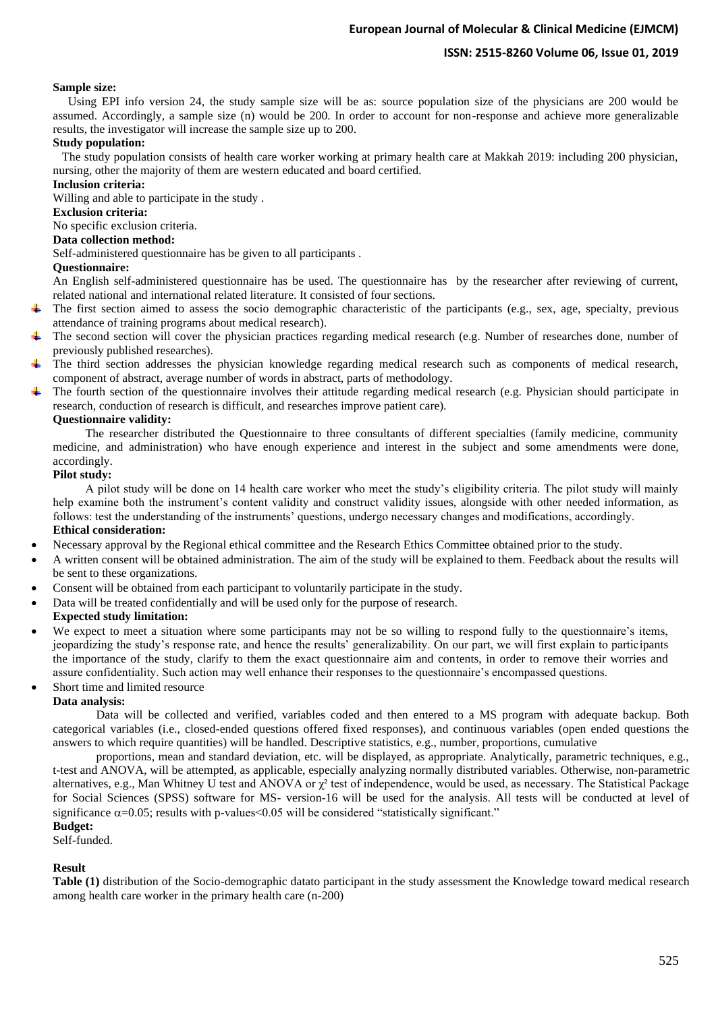# **ISSN: 2515-8260 Volume 06, Issue 01, 2019**

### **Sample size:**

 Using EPI info version 24, the study sample size will be as: source population size of the physicians are 200 would be assumed. Accordingly, a sample size (n) would be 200. In order to account for non-response and achieve more generalizable results, the investigator will increase the sample size up to 200.

# **Study population:**

 The study population consists of health care worker working at primary health care at Makkah 2019: including 200 physician, nursing, other the majority of them are western educated and board certified.

# **Inclusion criteria:**

Willing and able to participate in the study .

### **Exclusion criteria:**

No specific exclusion criteria.

# **Data collection method:**

Self-administered questionnaire has be given to all participants .

### **Questionnaire:**

An English self-administered questionnaire has be used. The questionnaire has by the researcher after reviewing of current, related national and international related literature. It consisted of four sections.

- The first section aimed to assess the socio demographic characteristic of the participants (e.g., sex, age, specialty, previous ÷ attendance of training programs about medical research).
- ÷ The second section will cover the physician practices regarding medical research (e.g. Number of researches done, number of previously published researches).
- The third section addresses the physician knowledge regarding medical research such as components of medical research, component of abstract, average number of words in abstract, parts of methodology.
- The fourth section of the questionnaire involves their attitude regarding medical research (e.g. Physician should participate in research, conduction of research is difficult, and researches improve patient care).

#### **Questionnaire validity:**

The researcher distributed the Questionnaire to three consultants of different specialties (family medicine, community medicine, and administration) who have enough experience and interest in the subject and some amendments were done, accordingly.

#### **Pilot study:**

A pilot study will be done on 14 health care worker who meet the study's eligibility criteria. The pilot study will mainly help examine both the instrument's content validity and construct validity issues, alongside with other needed information, as follows: test the understanding of the instruments' questions, undergo necessary changes and modifications, accordingly. **Ethical consideration:**

- Necessary approval by the Regional ethical committee and the Research Ethics Committee obtained prior to the study.
- A written consent will be obtained administration. The aim of the study will be explained to them. Feedback about the results will be sent to these organizations.
- Consent will be obtained from each participant to voluntarily participate in the study.
- Data will be treated confidentially and will be used only for the purpose of research.

### **Expected study limitation:**

- We expect to meet a situation where some participants may not be so willing to respond fully to the questionnaire's items, jeopardizing the study's response rate, and hence the results' generalizability. On our part, we will first explain to participants the importance of the study, clarify to them the exact questionnaire aim and contents, in order to remove their worries and assure confidentiality. Such action may well enhance their responses to the questionnaire's encompassed questions.
- Short time and limited resource

#### **Data analysis:**

Data will be collected and verified, variables coded and then entered to a MS program with adequate backup. Both categorical variables (i.e., closed-ended questions offered fixed responses), and continuous variables (open ended questions the answers to which require quantities) will be handled. Descriptive statistics, e.g., number, proportions, cumulative

proportions, mean and standard deviation, etc. will be displayed, as appropriate. Analytically, parametric techniques, e.g., t-test and ANOVA, will be attempted, as applicable, especially analyzing normally distributed variables. Otherwise, non-parametric alternatives, e.g., Man Whitney U test and ANOVA or  $\chi^2$  test of independence, would be used, as necessary. The Statistical Package for Social Sciences (SPSS) software for MS- version-16 will be used for the analysis. All tests will be conducted at level of significance  $\alpha$ =0.05; results with p-values<0.05 will be considered "statistically significant."

# **Budget:**

Self-funded.

# **Result**

**Table (1)** distribution of the Socio-demographic datato participant in the study assessment the Knowledge toward medical research among health care worker in the primary health care (n-200)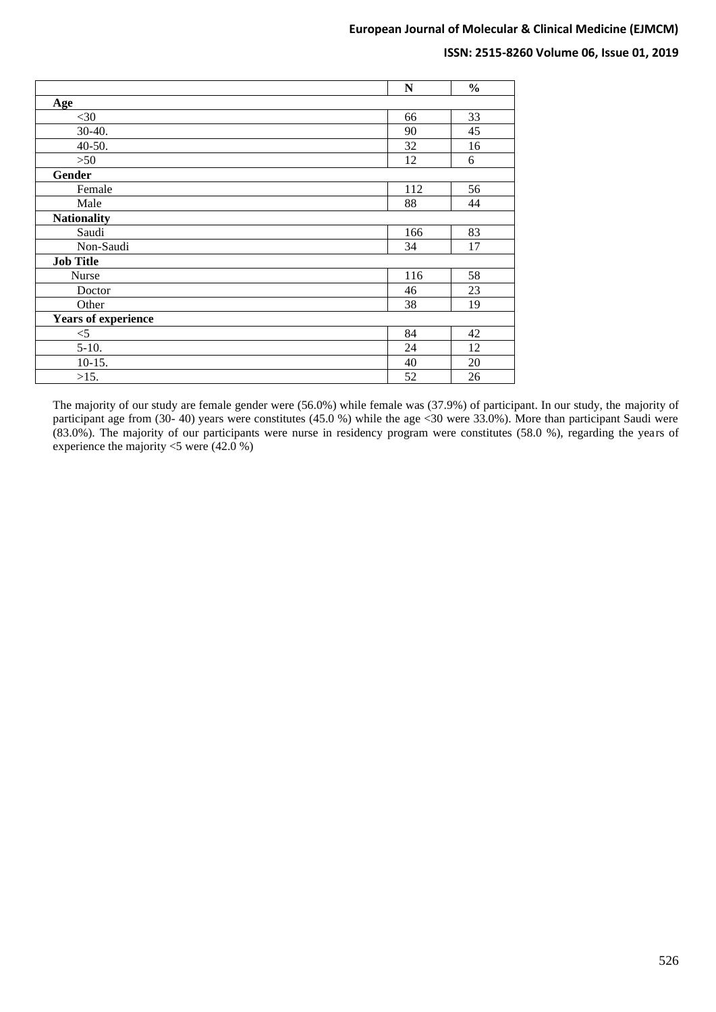# **ISSN: 2515-8260 Volume 06, Issue 01, 2019**

|                            | N   | $\frac{0}{0}$ |  |  |  |  |
|----------------------------|-----|---------------|--|--|--|--|
| <b>Age</b>                 |     |               |  |  |  |  |
| $<$ 30                     | 66  | 33            |  |  |  |  |
| $30-40.$                   | 90  | 45            |  |  |  |  |
| $40-50.$                   | 32  | 16            |  |  |  |  |
| >50                        | 12  | 6             |  |  |  |  |
| Gender                     |     |               |  |  |  |  |
| Female                     | 112 | 56            |  |  |  |  |
| Male                       | 88  | 44            |  |  |  |  |
| <b>Nationality</b>         |     |               |  |  |  |  |
| Saudi                      | 166 | 83            |  |  |  |  |
| Non-Saudi                  | 34  | 17            |  |  |  |  |
| <b>Job Title</b>           |     |               |  |  |  |  |
| <b>Nurse</b>               | 116 | 58            |  |  |  |  |
| Doctor                     | 46  | 23            |  |  |  |  |
| Other                      | 38  | 19            |  |  |  |  |
| <b>Years of experience</b> |     |               |  |  |  |  |
| $<$ 5                      | 84  | 42            |  |  |  |  |
| $5-10.$                    | 24  | 12            |  |  |  |  |
| $10-15.$                   | 40  | 20            |  |  |  |  |
| >15.                       | 52  | 26            |  |  |  |  |

The majority of our study are female gender were (56.0%) while female was (37.9%) of participant. In our study, the majority of participant age from (30- 40) years were constitutes (45.0 %) while the age <30 were 33.0%). More than participant Saudi were (83.0%). The majority of our participants were nurse in residency program were constitutes (58.0 %), regarding the years of experience the majority <5 were (42.0 %)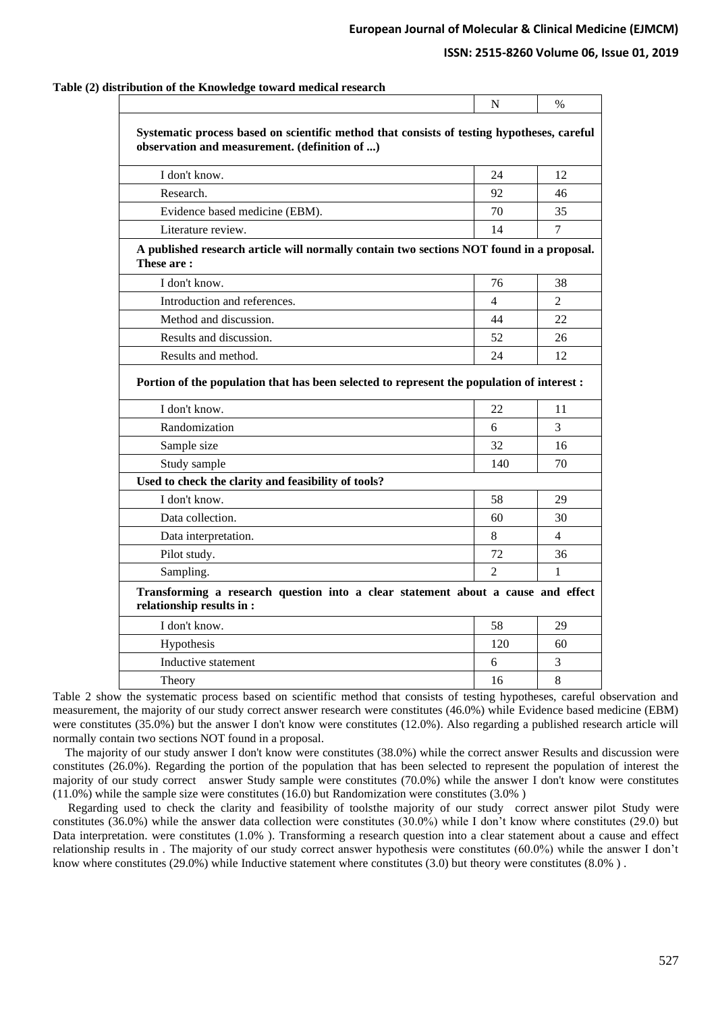# **ISSN: 2515-8260 Volume 06, Issue 01, 2019**

|                                                                                                                                             | N              | $\%$ |
|---------------------------------------------------------------------------------------------------------------------------------------------|----------------|------|
| Systematic process based on scientific method that consists of testing hypotheses, careful<br>observation and measurement. (definition of ) |                |      |
| I don't know.                                                                                                                               | 24             | 12   |
| Research.                                                                                                                                   | 92             | 46   |
| Evidence based medicine (EBM).                                                                                                              | 70             | 35   |
| Literature review.                                                                                                                          | 14             | 7    |
| A published research article will normally contain two sections NOT found in a proposal.<br>These are:                                      |                |      |
| I don't know.                                                                                                                               | 76             | 38   |
| Introduction and references.                                                                                                                | 4              | 2    |
| Method and discussion.                                                                                                                      | 44             | 22   |
| Results and discussion.                                                                                                                     | 52             | 26   |
| Results and method.                                                                                                                         | 24             | 12   |
| Portion of the population that has been selected to represent the population of interest :                                                  |                |      |
| I don't know.                                                                                                                               | 22             | 11   |
| Randomization                                                                                                                               | 6              | 3    |
| Sample size                                                                                                                                 | 32             | 16   |
| Study sample                                                                                                                                | 140            | 70   |
| Used to check the clarity and feasibility of tools?                                                                                         |                |      |
| I don't know.                                                                                                                               | 58             | 29   |
| Data collection.                                                                                                                            | 60             | 30   |
| Data interpretation.                                                                                                                        | 8              | 4    |
| Pilot study.                                                                                                                                | 72             | 36   |
| Sampling.                                                                                                                                   | $\overline{2}$ | 1    |
| Transforming a research question into a clear statement about a cause and effect<br>relationship results in :                               |                |      |
| I don't know.                                                                                                                               | 58             | 29   |
| Hypothesis                                                                                                                                  | 120            | 60   |
| Inductive statement                                                                                                                         | 6              | 3    |
| Theory                                                                                                                                      | 16             | 8    |
|                                                                                                                                             |                |      |

# **Table (2) distribution of the Knowledge toward medical research**

Table 2 show the systematic process based on scientific method that consists of testing hypotheses, careful observation and measurement, the majority of our study correct answer research were constitutes (46.0%) while Evidence based medicine (EBM) were constitutes (35.0%) but the answer I don't know were constitutes (12.0%). Also regarding a published research article will normally contain two sections NOT found in a proposal.

 The majority of our study answer I don't know were constitutes (38.0%) while the correct answer Results and discussion were constitutes (26.0%). Regarding the portion of the population that has been selected to represent the population of interest the majority of our study correct answer Study sample were constitutes (70.0%) while the answer I don't know were constitutes (11.0%) while the sample size were constitutes (16.0) but Randomization were constitutes (3.0% )

 Regarding used to check the clarity and feasibility of toolsthe majority of our study correct answer pilot Study were constitutes (36.0%) while the answer data collection were constitutes (30.0%) while I don't know where constitutes (29.0) but Data interpretation. were constitutes (1.0% ). Transforming a research question into a clear statement about a cause and effect relationship results in . The majority of our study correct answer hypothesis were constitutes (60.0%) while the answer I don't know where constitutes  $(29.0%)$  while Inductive statement where constitutes  $(3.0)$  but theory were constitutes  $(8.0%)$ .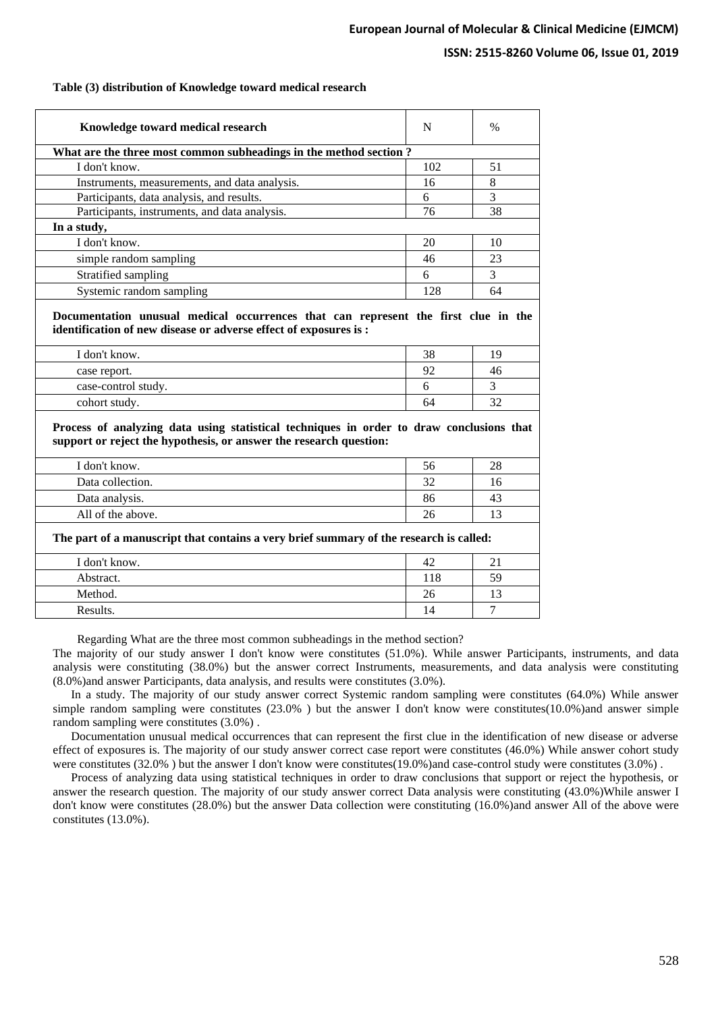# **ISSN: 2515-8260 Volume 06, Issue 01, 2019**

# **Table (3) distribution of Knowledge toward medical research**

| Knowledge toward medical research                                                                                                                              | N        | $\%$     |
|----------------------------------------------------------------------------------------------------------------------------------------------------------------|----------|----------|
| What are the three most common subheadings in the method section?                                                                                              |          |          |
| I don't know.                                                                                                                                                  | 102      | 51       |
| Instruments, measurements, and data analysis.                                                                                                                  | 16       | 8        |
| Participants, data analysis, and results.                                                                                                                      | 6        | 3        |
| Participants, instruments, and data analysis.                                                                                                                  | 76       | 38       |
| In a study,                                                                                                                                                    |          |          |
| I don't know.                                                                                                                                                  | 20       | 10       |
| simple random sampling                                                                                                                                         | 46       | 23       |
| Stratified sampling                                                                                                                                            | 6        | 3        |
| Systemic random sampling                                                                                                                                       | 128      | 64       |
| I don't know.<br>case report.                                                                                                                                  | 38<br>92 | 19<br>46 |
| Documentation unusual medical occurrences that can represent the first clue in the<br>identification of new disease or adverse effect of exposures is :        |          |          |
|                                                                                                                                                                |          |          |
|                                                                                                                                                                | 6        | 3        |
| case-control study.                                                                                                                                            |          |          |
| cohort study.                                                                                                                                                  | 64       | 32       |
| Process of analyzing data using statistical techniques in order to draw conclusions that<br>support or reject the hypothesis, or answer the research question: |          |          |
| I don't know.                                                                                                                                                  | 56       | 28       |
| Data collection.                                                                                                                                               | 32       | 16       |
| Data analysis.                                                                                                                                                 | 86       | 43       |
| All of the above.                                                                                                                                              | 26       | 13       |
| The part of a manuscript that contains a very brief summary of the research is called:                                                                         |          |          |
| I don't know.                                                                                                                                                  | 42       | 21       |
| Abstract.                                                                                                                                                      | 118      | 59       |
| Method.                                                                                                                                                        | 26       | 13       |

Regarding What are the three most common subheadings in the method section?

The majority of our study answer I don't know were constitutes (51.0%). While answer Participants, instruments, and data analysis were constituting (38.0%) but the answer correct Instruments, measurements, and data analysis were constituting (8.0%)and answer Participants, data analysis, and results were constitutes (3.0%).

 In a study. The majority of our study answer correct Systemic random sampling were constitutes (64.0%) While answer simple random sampling were constitutes (23.0% ) but the answer I don't know were constitutes(10.0%)and answer simple random sampling were constitutes (3.0%) .

 Documentation unusual medical occurrences that can represent the first clue in the identification of new disease or adverse effect of exposures is. The majority of our study answer correct case report were constitutes (46.0%) While answer cohort study were constitutes (32.0%) but the answer I don't know were constitutes(19.0%)and case-control study were constitutes (3.0%).

 Process of analyzing data using statistical techniques in order to draw conclusions that support or reject the hypothesis, or answer the research question. The majority of our study answer correct Data analysis were constituting (43.0%)While answer I don't know were constitutes (28.0%) but the answer Data collection were constituting (16.0%)and answer All of the above were constitutes (13.0%).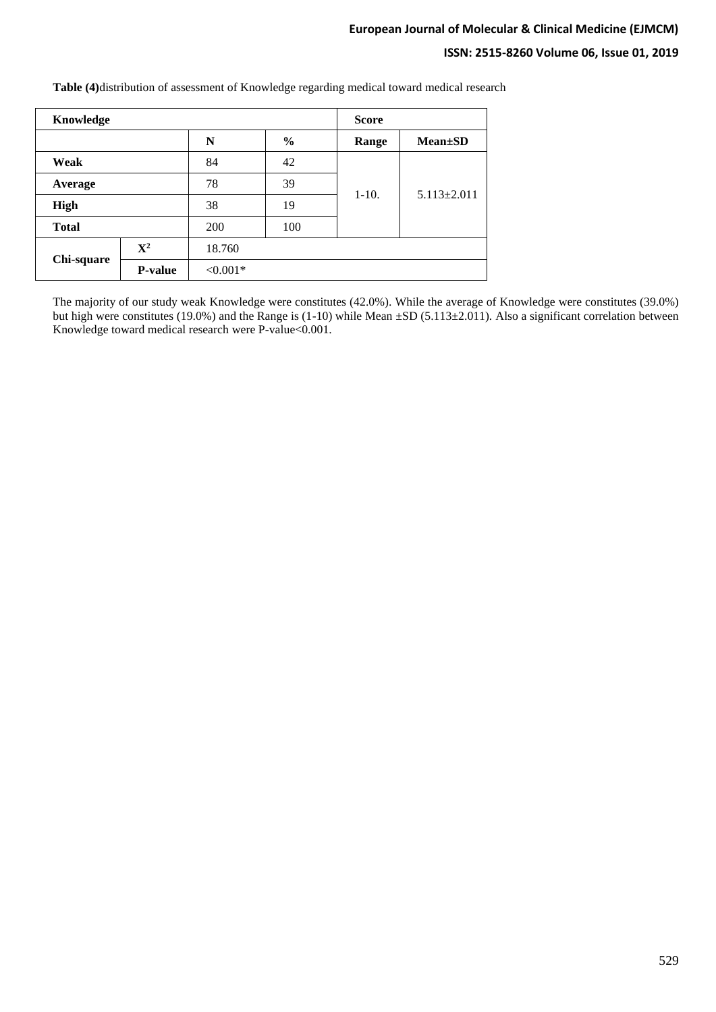# **ISSN: 2515-8260 Volume 06, Issue 01, 2019**

| Knowledge                       |                |            |               | <b>Score</b> |                   |  |  |
|---------------------------------|----------------|------------|---------------|--------------|-------------------|--|--|
|                                 |                | N          | $\frac{6}{6}$ | Range        | $Mean \pm SD$     |  |  |
| Weak                            |                | 84         | 42            |              |                   |  |  |
| Average<br>High<br><b>Total</b> |                | 78         | 39            |              | $5.113 \pm 2.011$ |  |  |
|                                 |                | 38         | 19            | $1-10.$      |                   |  |  |
|                                 |                | 200        | 100           |              |                   |  |  |
| Chi-square                      | ${\bf X}^2$    | 18.760     |               |              |                   |  |  |
|                                 | <b>P-value</b> | $< 0.001*$ |               |              |                   |  |  |

**Table (4)**distribution of assessment of Knowledge regarding medical toward medical research

The majority of our study weak Knowledge were constitutes (42.0%). While the average of Knowledge were constitutes (39.0%) but high were constitutes (19.0%) and the Range is (1-10) while Mean  $\pm SD$  (5.113 $\pm 2.011$ ). Also a significant correlation between Knowledge toward medical research were P-value<0.001.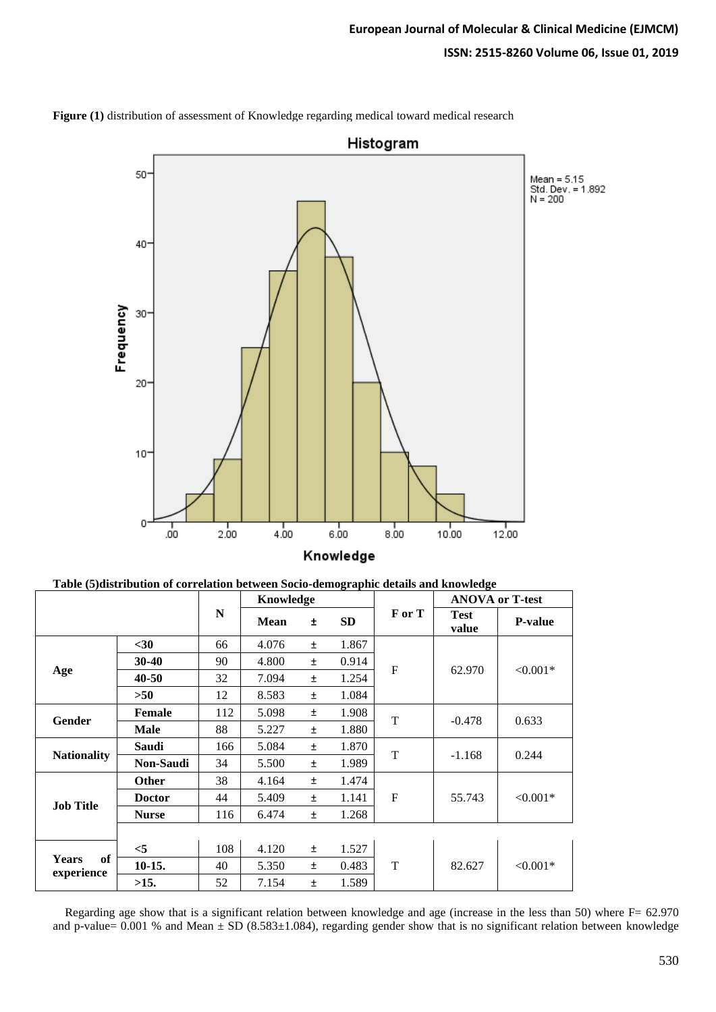

**Figure (1)** distribution of assessment of Knowledge regarding medical toward medical research

|  |  |  | Table (5)distribution of correlation between Socio-demographic details and knowledge |
|--|--|--|--------------------------------------------------------------------------------------|
|  |  |  |                                                                                      |

|                                  |               |     | Knowledge   |       |           | <b>ANOVA or T-test</b> |                      |                |
|----------------------------------|---------------|-----|-------------|-------|-----------|------------------------|----------------------|----------------|
|                                  |               | N   | <b>Mean</b> | Ŧ.    | <b>SD</b> | F or T                 | <b>Test</b><br>value | <b>P-value</b> |
|                                  | $30$          | 66  | 4.076       | $\pm$ | 1.867     | $\mathbf F$            | 62.970               | $< 0.001*$     |
|                                  | $30 - 40$     | 90  | 4.800       | Ŧ     | 0.914     |                        |                      |                |
| Age                              | 40-50         | 32  | 7.094       | Ŧ     | 1.254     |                        |                      |                |
|                                  | >50           | 12  | 8.583       | $\pm$ | 1.084     |                        |                      |                |
| Gender                           | <b>Female</b> | 112 | 5.098       | $\pm$ | 1.908     | T                      | $-0.478$             | 0.633          |
|                                  | <b>Male</b>   | 88  | 5.227       | $\pm$ | 1.880     |                        |                      |                |
|                                  | <b>Saudi</b>  | 166 | 5.084       | Ŧ     | 1.870     | T                      | $-1.168$             | 0.244          |
| <b>Nationality</b>               | Non-Saudi     | 34  | 5.500       | Ŧ     | 1.989     |                        |                      |                |
| <b>Job Title</b>                 | <b>Other</b>  | 38  | 4.164       | Ŧ     | 1.474     | $\mathbf F$            | 55.743               | $< 0.001*$     |
|                                  | <b>Doctor</b> | 44  | 5.409       | $\pm$ | 1.141     |                        |                      |                |
|                                  | <b>Nurse</b>  | 116 | 6.474       | Ŧ     | 1.268     |                        |                      |                |
|                                  |               |     |             |       |           |                        |                      |                |
|                                  | $<$ 5         | 108 | 4.120       | $\pm$ | 1.527     | T                      | 82.627               | $< 0.001*$     |
| of<br><b>Years</b><br>experience | $10-15.$      | 40  | 5.350       | Ŧ     | 0.483     |                        |                      |                |
|                                  | >15.          | 52  | 7.154       | $\pm$ | 1.589     |                        |                      |                |

 Regarding age show that is a significant relation between knowledge and age (increase in the less than 50) where F= 62.970 and p-value=  $0.001$  % and Mean  $\pm$  SD (8.583 $\pm$ 1.084), regarding gender show that is no significant relation between knowledge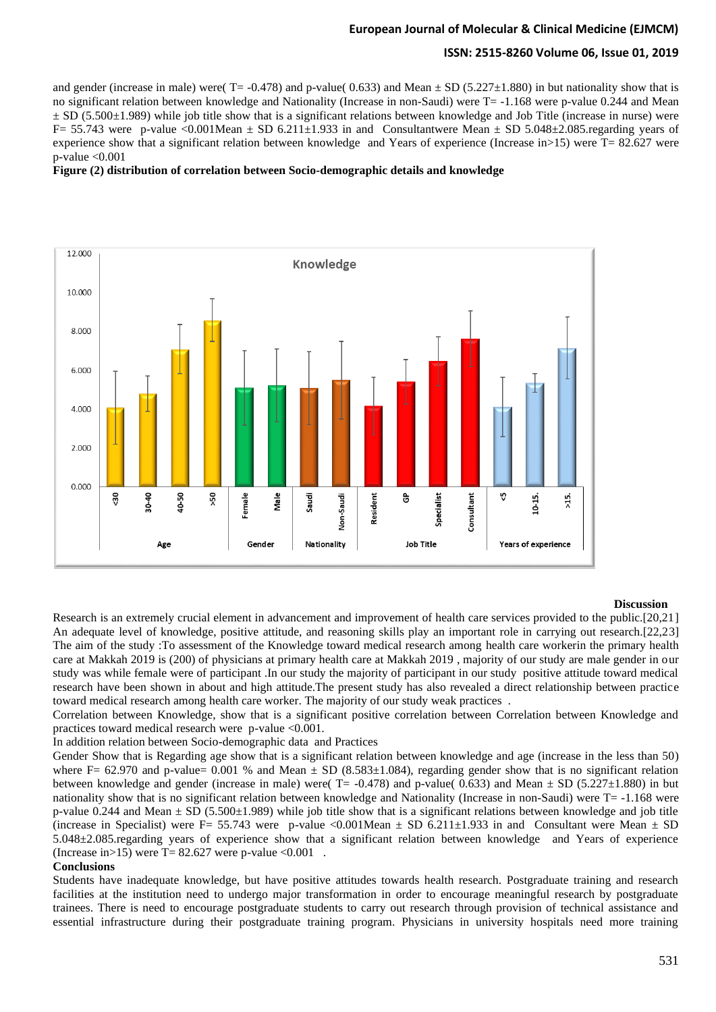### **ISSN: 2515-8260 Volume 06, Issue 01, 2019**

and gender (increase in male) were( $T = -0.478$ ) and p-value( 0.633) and Mean  $\pm$  SD (5.227 $\pm$ 1.880) in but nationality show that is no significant relation between knowledge and Nationality (Increase in non-Saudi) were  $T = -1.168$  were p-value 0.244 and Mean  $\pm$  SD (5.500 $\pm$ 1.989) while job title show that is a significant relations between knowledge and Job Title (increase in nurse) were F= 55.743 were p-value <0.001Mean  $\pm$  SD 6.211 $\pm$ 1.933 in and Consultantwere Mean  $\pm$  SD 5.048 $\pm$ 2.085.regarding years of experience show that a significant relation between knowledge and Years of experience (Increase in>15) were T= 82.627 were p-value <0.001

#### **Figure (2) distribution of correlation between Socio-demographic details and knowledge**



#### **Discussion**

Research is an extremely crucial element in advancement and improvement of health care services provided to the public.[20,21] An adequate level of knowledge, positive attitude, and reasoning skills play an important role in carrying out research.[22,23] The aim of the study :To assessment of the Knowledge toward medical research among health care workerin the primary health care at Makkah 2019 is (200) of physicians at primary health care at Makkah 2019 , majority of our study are male gender in our study was while female were of participant .In our study the majority of participant in our study positive attitude toward medical research have been shown in about and high attitude.The present study has also revealed a direct relationship between practice toward medical research among health care worker. The majority of our study weak practices .

Correlation between Knowledge, show that is a significant positive correlation between Correlation between Knowledge and practices toward medical research were p-value <0.001.

In addition relation between Socio-demographic data and Practices

Gender Show that is Regarding age show that is a significant relation between knowledge and age (increase in the less than 50) where F= 62.970 and p-value= 0.001 % and Mean  $\pm$  SD (8.583 $\pm$ 1.084), regarding gender show that is no significant relation between knowledge and gender (increase in male) were( $T = -0.478$ ) and p-value( 0.633) and Mean  $\pm$  SD (5.227 $\pm$ 1.880) in but nationality show that is no significant relation between knowledge and Nationality (Increase in non-Saudi) were T= -1.168 were p-value 0.244 and Mean  $\pm$  SD (5.500 $\pm$ 1.989) while job title show that is a significant relations between knowledge and job title (increase in Specialist) were F= 55.743 were p-value <0.001Mean  $\pm$  SD 6.211 $\pm$ 1.933 in and Consultant were Mean  $\pm$  SD 5.048±2.085.regarding years of experience show that a significant relation between knowledge and Years of experience (Increase in > 15) were  $T = 82.627$  were p-value < 0.001.

#### **Conclusions**

Students have inadequate knowledge, but have positive attitudes towards health research. Postgraduate training and research facilities at the institution need to undergo major transformation in order to encourage meaningful research by postgraduate trainees. There is need to encourage postgraduate students to carry out research through provision of technical assistance and essential infrastructure during their postgraduate training program. Physicians in university hospitals need more training